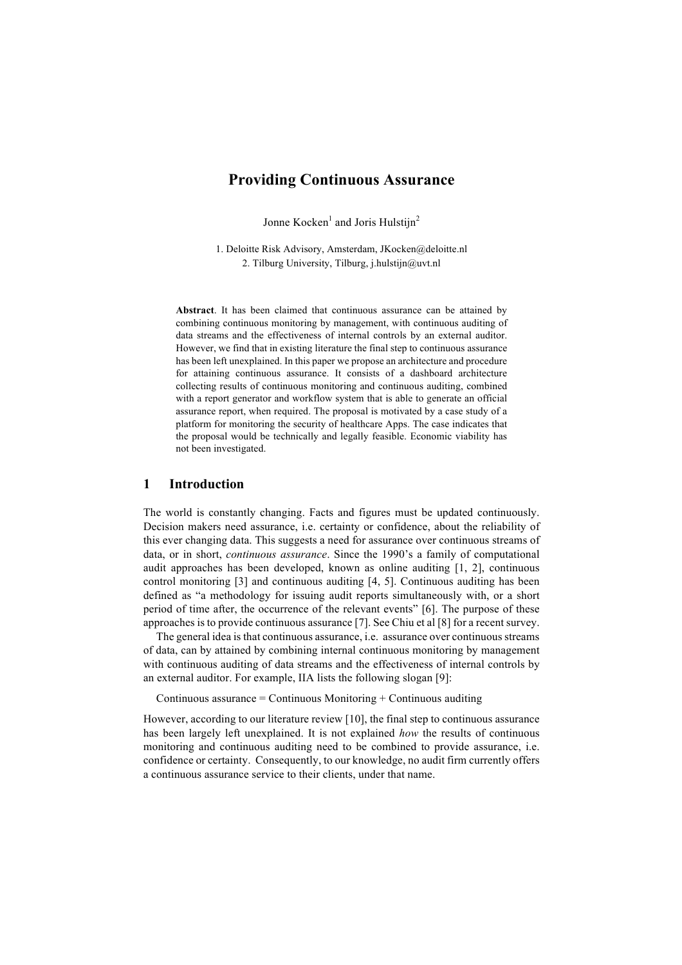# **Providing Continuous Assurance**

Jonne Kocken<sup>1</sup> and Joris Hulstijn<sup>2</sup>

1. Deloitte Risk Advisory, Amsterdam, JKocken@deloitte.nl 2. Tilburg University, Tilburg, j.hulstijn@uvt.nl

**Abstract**. It has been claimed that continuous assurance can be attained by combining continuous monitoring by management, with continuous auditing of data streams and the effectiveness of internal controls by an external auditor. However, we find that in existing literature the final step to continuous assurance has been left unexplained. In this paper we propose an architecture and procedure for attaining continuous assurance. It consists of a dashboard architecture collecting results of continuous monitoring and continuous auditing, combined with a report generator and workflow system that is able to generate an official assurance report, when required. The proposal is motivated by a case study of a platform for monitoring the security of healthcare Apps. The case indicates that the proposal would be technically and legally feasible. Economic viability has not been investigated.

## **1 Introduction**

The world is constantly changing. Facts and figures must be updated continuously. Decision makers need assurance, i.e. certainty or confidence, about the reliability of this ever changing data. This suggests a need for assurance over continuous streams of data, or in short, *continuous assurance*. Since the 1990's a family of computational audit approaches has been developed, known as online auditing [1, 2], continuous control monitoring [3] and continuous auditing [4, 5]. Continuous auditing has been defined as "a methodology for issuing audit reports simultaneously with, or a short period of time after, the occurrence of the relevant events" [6]. The purpose of these approaches is to provide continuous assurance [7]. See Chiu et al [8] for a recent survey.

The general idea is that continuous assurance, i.e. assurance over continuous streams of data, can by attained by combining internal continuous monitoring by management with continuous auditing of data streams and the effectiveness of internal controls by an external auditor. For example, IIA lists the following slogan [9]:

Continuous assurance  $=$  Continuous Monitoring  $+$  Continuous auditing

However, according to our literature review [10], the final step to continuous assurance has been largely left unexplained. It is not explained *how* the results of continuous monitoring and continuous auditing need to be combined to provide assurance, i.e. confidence or certainty. Consequently, to our knowledge, no audit firm currently offers a continuous assurance service to their clients, under that name.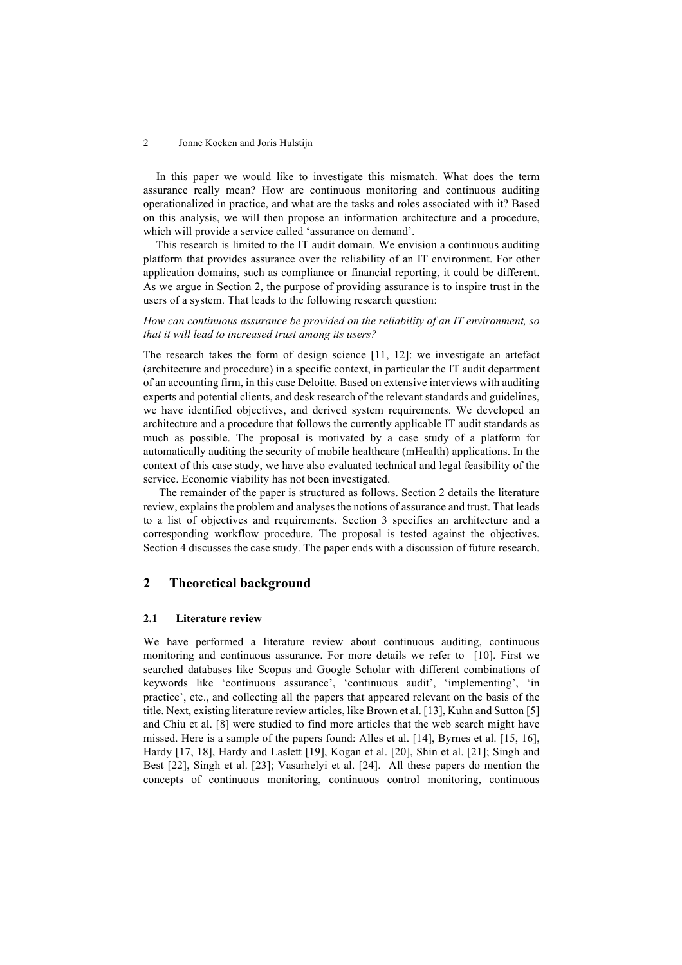In this paper we would like to investigate this mismatch. What does the term assurance really mean? How are continuous monitoring and continuous auditing operationalized in practice, and what are the tasks and roles associated with it? Based on this analysis, we will then propose an information architecture and a procedure, which will provide a service called 'assurance on demand'.

This research is limited to the IT audit domain. We envision a continuous auditing platform that provides assurance over the reliability of an IT environment. For other application domains, such as compliance or financial reporting, it could be different. As we argue in Section 2, the purpose of providing assurance is to inspire trust in the users of a system. That leads to the following research question:

*How can continuous assurance be provided on the reliability of an IT environment, so that it will lead to increased trust among its users?* 

The research takes the form of design science [11, 12]: we investigate an artefact (architecture and procedure) in a specific context, in particular the IT audit department of an accounting firm, in this case Deloitte. Based on extensive interviews with auditing experts and potential clients, and desk research of the relevant standards and guidelines, we have identified objectives, and derived system requirements. We developed an architecture and a procedure that follows the currently applicable IT audit standards as much as possible. The proposal is motivated by a case study of a platform for automatically auditing the security of mobile healthcare (mHealth) applications. In the context of this case study, we have also evaluated technical and legal feasibility of the service. Economic viability has not been investigated.

The remainder of the paper is structured as follows. Section 2 details the literature review, explains the problem and analyses the notions of assurance and trust. That leads to a list of objectives and requirements. Section 3 specifies an architecture and a corresponding workflow procedure. The proposal is tested against the objectives. Section 4 discusses the case study. The paper ends with a discussion of future research.

## **2 Theoretical background**

#### **2.1 Literature review**

We have performed a literature review about continuous auditing, continuous monitoring and continuous assurance. For more details we refer to [10]. First we searched databases like Scopus and Google Scholar with different combinations of keywords like 'continuous assurance', 'continuous audit', 'implementing', 'in practice', etc., and collecting all the papers that appeared relevant on the basis of the title. Next, existing literature review articles, like Brown et al. [13], Kuhn and Sutton [5] and Chiu et al. [8] were studied to find more articles that the web search might have missed. Here is a sample of the papers found: Alles et al. [14], Byrnes et al. [15, 16], Hardy [17, 18], Hardy and Laslett [19], Kogan et al. [20], Shin et al. [21]; Singh and Best [22], Singh et al. [23]; Vasarhelyi et al. [24]. All these papers do mention the concepts of continuous monitoring, continuous control monitoring, continuous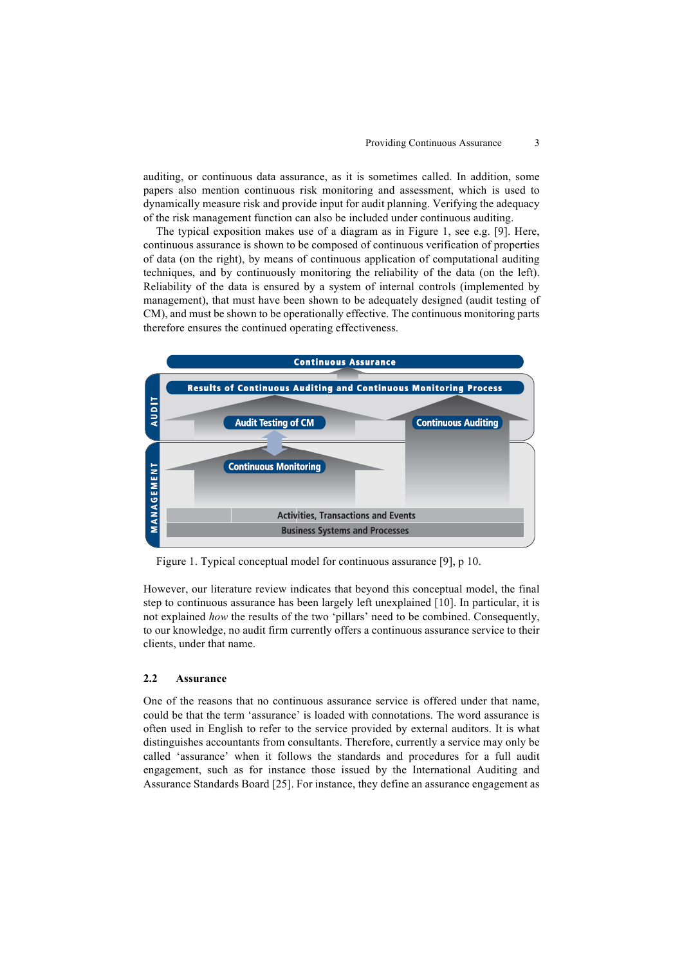auditing, or continuous data assurance, as it is sometimes called. In addition, some papers also mention continuous risk monitoring and assessment, which is used to dynamically measure risk and provide input for audit planning. Verifying the adequacy of the risk management function can also be included under continuous auditing.

The typical exposition makes use of a diagram as in Figure 1, see e.g. [9]. Here, continuous assurance is shown to be composed of continuous verification of properties of data (on the right), by means of continuous application of computational auditing techniques, and by continuously monitoring the reliability of the data (on the left). Reliability of the data is ensured by a system of internal controls (implemented by management), that must have been shown to be adequately designed (audit testing of CM), and must be shown to be operationally effective. The continuous monitoring parts therefore ensures the continued operating effectiveness.



Figure 1. Typical conceptual model for continuous assurance  $[9]$ , p 10.

However, our literature review indicates that beyond this conceptual model, the final step to continuous assurance has been largely left unexplained  $[10]$ . In particular, it is not explained *how* the results of the two 'pillars' need to be combined. Consequently, to our knowledge, no audit firm currently offers a continuous assurance service to their clients, under that name.

#### **2.2 Assurance**  $\ell$ 2012); Assurance

One of the reasons that no continuous assurance service is offered under that name, could be that the term 'assurance' is loaded with connotations. The word assurance is often used in English to refer to the service provided by external auditors. It is what distinguishes accountants from consultants. Therefore, currently a service may only be called 'assurance' when it follows the standards and procedures for a full audit ential assurance when it follows the standards and procedures for a fun additional engagement, such as for instance those issued by the International Auditing and  $\alpha$  assurance Standards Board [25]. For instance, they define an assurance engagement as  $\alpha$ audit substitute to define the set of the set of the control of the productive and productive and productive and production of the set of the set of the set of the set of the set of the set of the set of the set of the set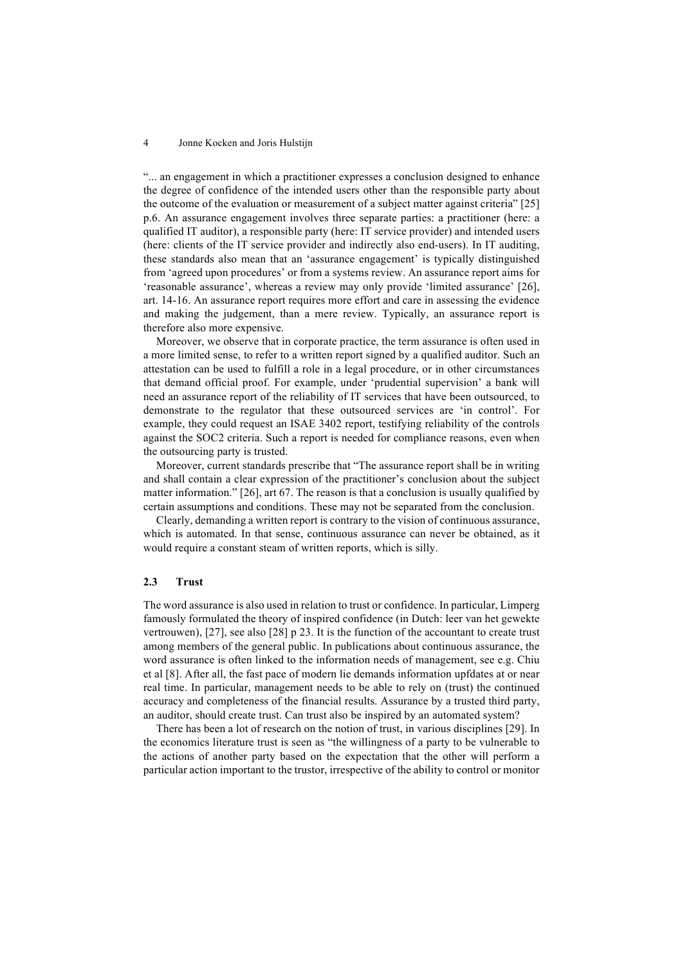"... an engagement in which a practitioner expresses a conclusion designed to enhance the degree of confidence of the intended users other than the responsible party about the outcome of the evaluation or measurement of a subject matter against criteria" [25] p.6. An assurance engagement involves three separate parties: a practitioner (here: a qualified IT auditor), a responsible party (here: IT service provider) and intended users (here: clients of the IT service provider and indirectly also end-users). In IT auditing, these standards also mean that an 'assurance engagement' is typically distinguished from 'agreed upon procedures' or from a systems review. An assurance report aims for 'reasonable assurance', whereas a review may only provide 'limited assurance' [26], art. 14-16. An assurance report requires more effort and care in assessing the evidence and making the judgement, than a mere review. Typically, an assurance report is therefore also more expensive.

Moreover, we observe that in corporate practice, the term assurance is often used in a more limited sense, to refer to a written report signed by a qualified auditor. Such an attestation can be used to fulfill a role in a legal procedure, or in other circumstances that demand official proof. For example, under 'prudential supervision' a bank will need an assurance report of the reliability of IT services that have been outsourced, to demonstrate to the regulator that these outsourced services are 'in control'. For example, they could request an ISAE 3402 report, testifying reliability of the controls against the SOC2 criteria. Such a report is needed for compliance reasons, even when the outsourcing party is trusted.

Moreover, current standards prescribe that "The assurance report shall be in writing and shall contain a clear expression of the practitioner's conclusion about the subject matter information." [26], art 67. The reason is that a conclusion is usually qualified by certain assumptions and conditions. These may not be separated from the conclusion.

Clearly, demanding a written report is contrary to the vision of continuous assurance, which is automated. In that sense, continuous assurance can never be obtained, as it would require a constant steam of written reports, which is silly.

## **2.3 Trust**

The word assurance is also used in relation to trust or confidence. In particular, Limperg famously formulated the theory of inspired confidence (in Dutch: leer van het gewekte vertrouwen), [27], see also [28] p 23. It is the function of the accountant to create trust among members of the general public. In publications about continuous assurance, the word assurance is often linked to the information needs of management, see e.g. Chiu et al [8]. After all, the fast pace of modern lie demands information upfdates at or near real time. In particular, management needs to be able to rely on (trust) the continued accuracy and completeness of the financial results. Assurance by a trusted third party, an auditor, should create trust. Can trust also be inspired by an automated system?

There has been a lot of research on the notion of trust, in various disciplines [29]. In the economics literature trust is seen as "the willingness of a party to be vulnerable to the actions of another party based on the expectation that the other will perform a particular action important to the trustor, irrespective of the ability to control or monitor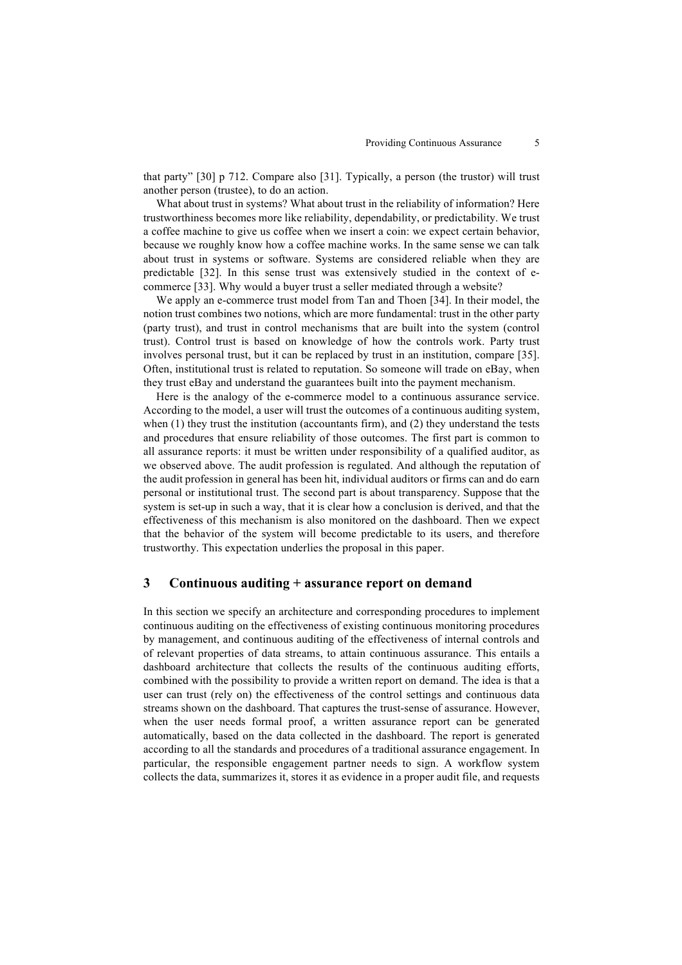that party" [30] p 712. Compare also [31]. Typically, a person (the trustor) will trust another person (trustee), to do an action.

What about trust in systems? What about trust in the reliability of information? Here trustworthiness becomes more like reliability, dependability, or predictability. We trust a coffee machine to give us coffee when we insert a coin: we expect certain behavior, because we roughly know how a coffee machine works. In the same sense we can talk about trust in systems or software. Systems are considered reliable when they are predictable [32]. In this sense trust was extensively studied in the context of ecommerce [33]. Why would a buyer trust a seller mediated through a website?

We apply an e-commerce trust model from Tan and Thoen [34]. In their model, the notion trust combines two notions, which are more fundamental: trust in the other party (party trust), and trust in control mechanisms that are built into the system (control trust). Control trust is based on knowledge of how the controls work. Party trust involves personal trust, but it can be replaced by trust in an institution, compare [35]. Often, institutional trust is related to reputation. So someone will trade on eBay, when they trust eBay and understand the guarantees built into the payment mechanism.

Here is the analogy of the e-commerce model to a continuous assurance service. According to the model, a user will trust the outcomes of a continuous auditing system, when (1) they trust the institution (accountants firm), and (2) they understand the tests and procedures that ensure reliability of those outcomes. The first part is common to all assurance reports: it must be written under responsibility of a qualified auditor, as we observed above. The audit profession is regulated. And although the reputation of the audit profession in general has been hit, individual auditors or firms can and do earn personal or institutional trust. The second part is about transparency. Suppose that the system is set-up in such a way, that it is clear how a conclusion is derived, and that the effectiveness of this mechanism is also monitored on the dashboard. Then we expect that the behavior of the system will become predictable to its users, and therefore trustworthy. This expectation underlies the proposal in this paper.

## **3 Continuous auditing + assurance report on demand**

In this section we specify an architecture and corresponding procedures to implement continuous auditing on the effectiveness of existing continuous monitoring procedures by management, and continuous auditing of the effectiveness of internal controls and of relevant properties of data streams, to attain continuous assurance. This entails a dashboard architecture that collects the results of the continuous auditing efforts, combined with the possibility to provide a written report on demand. The idea is that a user can trust (rely on) the effectiveness of the control settings and continuous data streams shown on the dashboard. That captures the trust-sense of assurance. However, when the user needs formal proof, a written assurance report can be generated automatically, based on the data collected in the dashboard. The report is generated according to all the standards and procedures of a traditional assurance engagement. In particular, the responsible engagement partner needs to sign. A workflow system collects the data, summarizes it, stores it as evidence in a proper audit file, and requests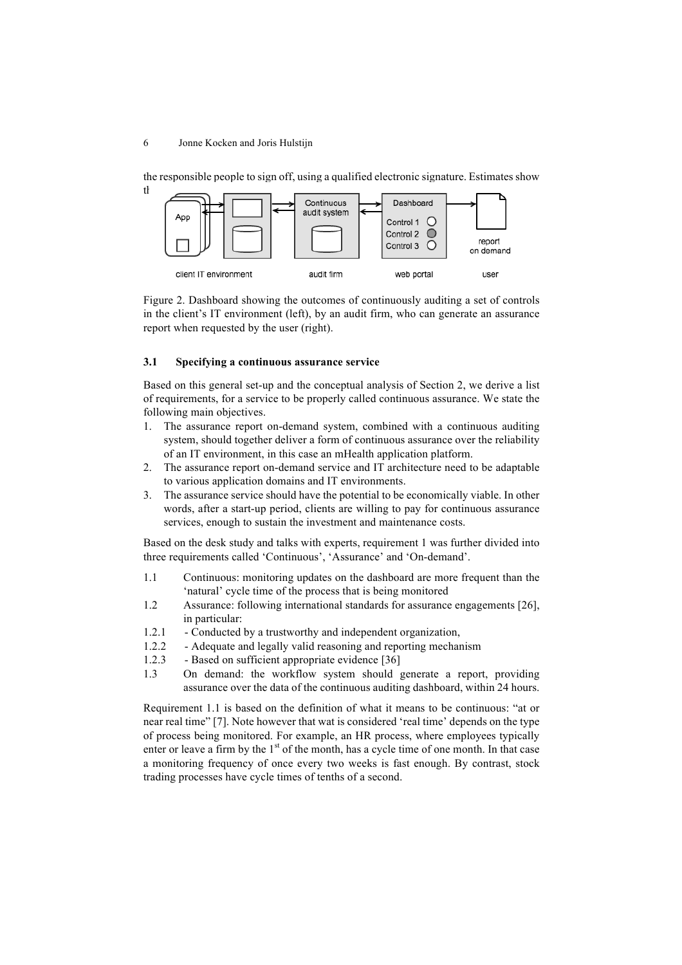the responsible people to sign off, using a qualified electronic signature. Estimates show



Figure 2. Dashboard showing the outcomes of continuously auditing a set of controls in the client's IT environment (left), by an audit firm, who can generate an assurance report when requested by the user (right).

### **3.1 Specifying a continuous assurance service**

Based on this general set-up and the conceptual analysis of Section 2, we derive a list of requirements, for a service to be properly called continuous assurance. We state the following main objectives.

- 1. The assurance report on-demand system, combined with a continuous auditing system, should together deliver a form of continuous assurance over the reliability of an IT environment, in this case an mHealth application platform.
- 2. The assurance report on-demand service and IT architecture need to be adaptable to various application domains and IT environments.
- 3. The assurance service should have the potential to be economically viable. In other words, after a start-up period, clients are willing to pay for continuous assurance services, enough to sustain the investment and maintenance costs.

Based on the desk study and talks with experts, requirement 1 was further divided into three requirements called 'Continuous', 'Assurance' and 'On-demand'.

- 1.1 Continuous: monitoring updates on the dashboard are more frequent than the 'natural' cycle time of the process that is being monitored
- 1.2 Assurance: following international standards for assurance engagements [26], in particular:
- 1.2.1 Conducted by a trustworthy and independent organization,
- 1.2.2 Adequate and legally valid reasoning and reporting mechanism
- 1.2.3 Based on sufficient appropriate evidence [36]
- 1.3 On demand: the workflow system should generate a report, providing assurance over the data of the continuous auditing dashboard, within 24 hours.

Requirement 1.1 is based on the definition of what it means to be continuous: "at or near real time" [7]. Note however that wat is considered 'real time' depends on the type of process being monitored. For example, an HR process, where employees typically enter or leave a firm by the  $1<sup>st</sup>$  of the month, has a cycle time of one month. In that case a monitoring frequency of once every two weeks is fast enough. By contrast, stock trading processes have cycle times of tenths of a second.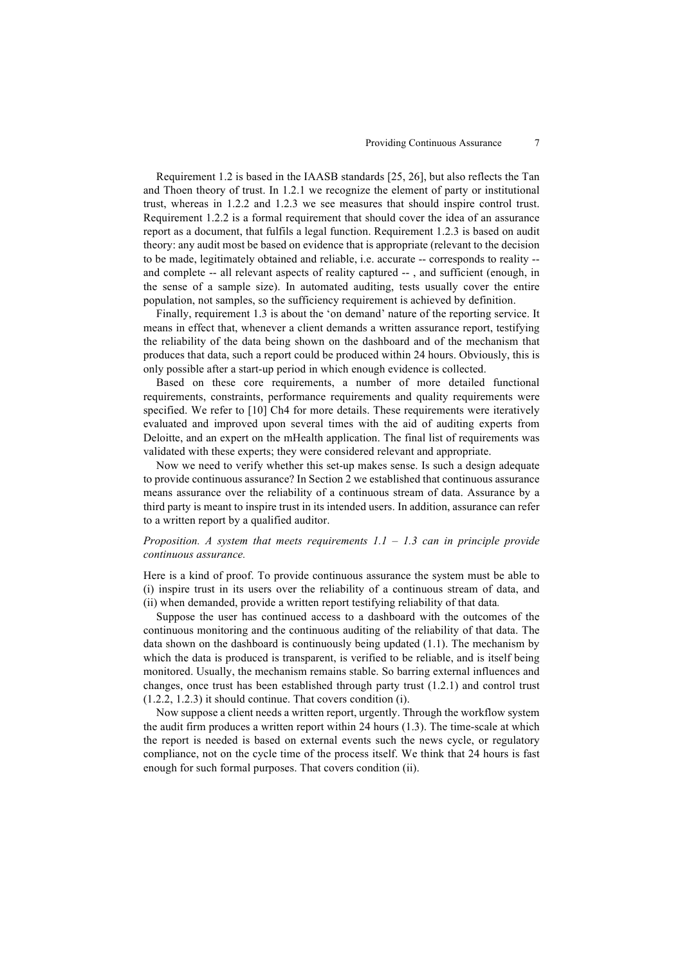Requirement 1.2 is based in the IAASB standards [25, 26], but also reflects the Tan and Thoen theory of trust. In 1.2.1 we recognize the element of party or institutional trust, whereas in 1.2.2 and 1.2.3 we see measures that should inspire control trust. Requirement 1.2.2 is a formal requirement that should cover the idea of an assurance report as a document, that fulfils a legal function. Requirement 1.2.3 is based on audit theory: any audit most be based on evidence that is appropriate (relevant to the decision to be made, legitimately obtained and reliable, i.e. accurate -- corresponds to reality - and complete -- all relevant aspects of reality captured -- , and sufficient (enough, in the sense of a sample size). In automated auditing, tests usually cover the entire population, not samples, so the sufficiency requirement is achieved by definition.

Finally, requirement 1.3 is about the 'on demand' nature of the reporting service. It means in effect that, whenever a client demands a written assurance report, testifying the reliability of the data being shown on the dashboard and of the mechanism that produces that data, such a report could be produced within 24 hours. Obviously, this is only possible after a start-up period in which enough evidence is collected.

Based on these core requirements, a number of more detailed functional requirements, constraints, performance requirements and quality requirements were specified. We refer to [10] Ch4 for more details. These requirements were iteratively evaluated and improved upon several times with the aid of auditing experts from Deloitte, and an expert on the mHealth application. The final list of requirements was validated with these experts; they were considered relevant and appropriate.

Now we need to verify whether this set-up makes sense. Is such a design adequate to provide continuous assurance? In Section 2 we established that continuous assurance means assurance over the reliability of a continuous stream of data. Assurance by a third party is meant to inspire trust in its intended users. In addition, assurance can refer to a written report by a qualified auditor.

### *Proposition. A system that meets requirements 1.1 – 1.3 can in principle provide continuous assurance.*

Here is a kind of proof. To provide continuous assurance the system must be able to (i) inspire trust in its users over the reliability of a continuous stream of data, and (ii) when demanded, provide a written report testifying reliability of that data*.*

Suppose the user has continued access to a dashboard with the outcomes of the continuous monitoring and the continuous auditing of the reliability of that data. The data shown on the dashboard is continuously being updated (1.1). The mechanism by which the data is produced is transparent, is verified to be reliable, and is itself being monitored. Usually, the mechanism remains stable. So barring external influences and changes, once trust has been established through party trust (1.2.1) and control trust (1.2.2, 1.2.3) it should continue. That covers condition (i).

Now suppose a client needs a written report, urgently. Through the workflow system the audit firm produces a written report within 24 hours (1.3). The time-scale at which the report is needed is based on external events such the news cycle, or regulatory compliance, not on the cycle time of the process itself. We think that 24 hours is fast enough for such formal purposes. That covers condition (ii).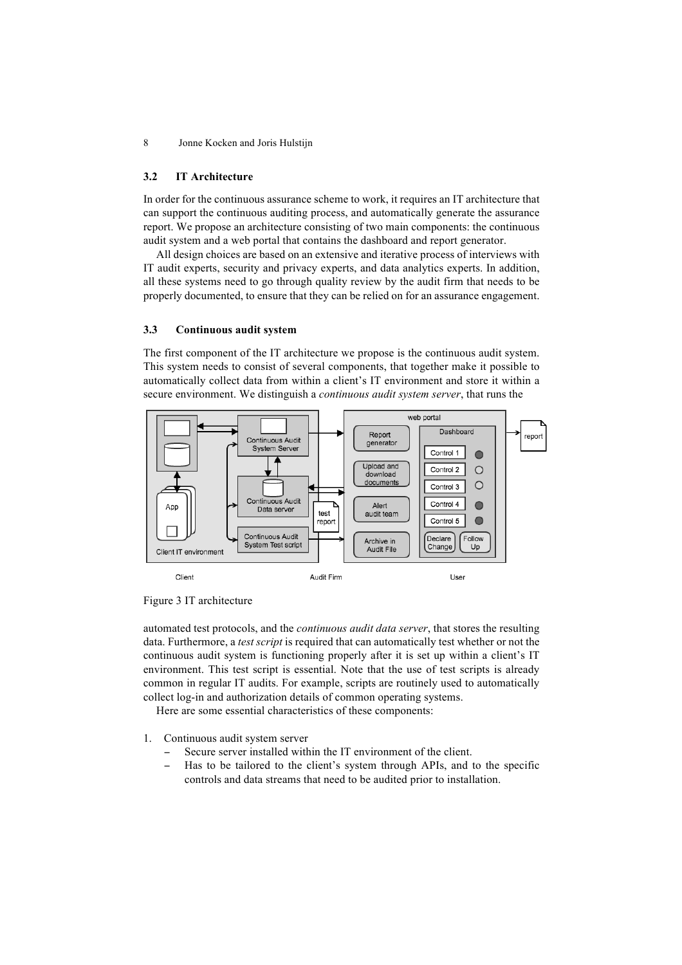#### **3.2 IT Architecture**

In order for the continuous assurance scheme to work, it requires an IT architecture that can support the continuous auditing process, and automatically generate the assurance report. We propose an architecture consisting of two main components: the continuous audit system and a web portal that contains the dashboard and report generator.

All design choices are based on an extensive and iterative process of interviews with IT audit experts, security and privacy experts, and data analytics experts. In addition, all these systems need to go through quality review by the audit firm that needs to be properly documented, to ensure that they can be relied on for an assurance engagement.

#### **3.3 Continuous audit system**

The first component of the IT architecture we propose is the continuous audit system. This system needs to consist of several components, that together make it possible to automatically collect data from within a client's IT environment and store it within a secure environment. We distinguish a *continuous audit system server*, that runs the



Figure 3 IT architecture

automated test protocols, and the *continuous audit data server*, that stores the resulting data. Furthermore, a *test script* is required that can automatically test whether or not the continuous audit system is functioning properly after it is set up within a client's IT environment. This test script is essential. Note that the use of test scripts is already common in regular IT audits. For example, scripts are routinely used to automatically collect log-in and authorization details of common operating systems.

Here are some essential characteristics of these components:

- 1. Continuous audit system server
	- Secure server installed within the IT environment of the client.
	- − Has to be tailored to the client's system through APIs, and to the specific controls and data streams that need to be audited prior to installation.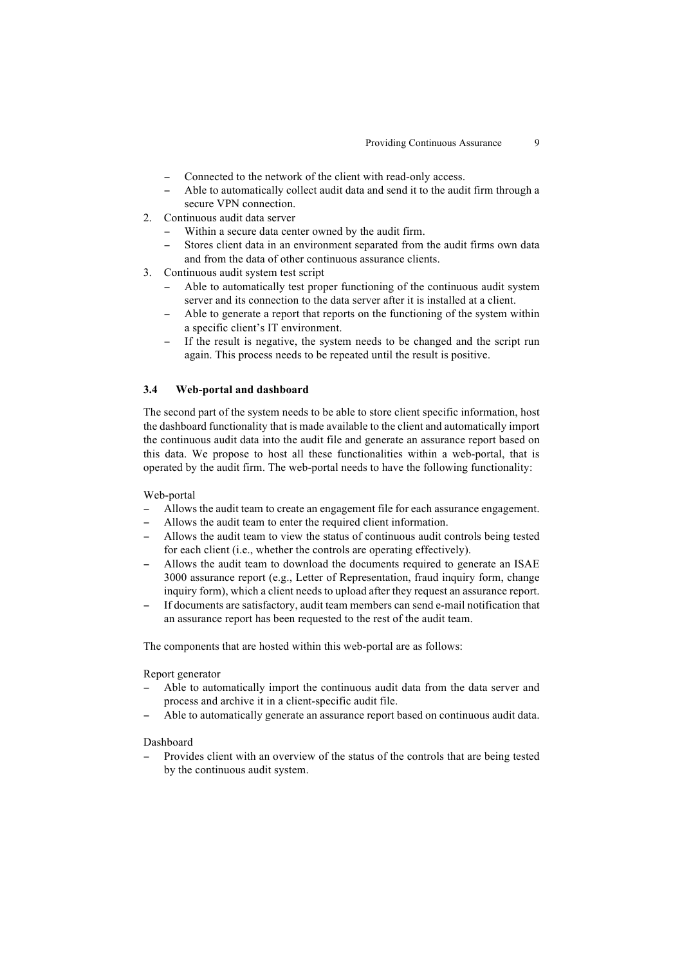- Connected to the network of the client with read-only access.
- Able to automatically collect audit data and send it to the audit firm through a secure VPN connection.
- 2. Continuous audit data server
	- Within a secure data center owned by the audit firm.
	- − Stores client data in an environment separated from the audit firms own data and from the data of other continuous assurance clients.
- 3. Continuous audit system test script
	- Able to automatically test proper functioning of the continuous audit system server and its connection to the data server after it is installed at a client.
	- Able to generate a report that reports on the functioning of the system within a specific client's IT environment.
	- If the result is negative, the system needs to be changed and the script run again. This process needs to be repeated until the result is positive.

#### **3.4 Web-portal and dashboard**

The second part of the system needs to be able to store client specific information, host the dashboard functionality that is made available to the client and automatically import the continuous audit data into the audit file and generate an assurance report based on this data. We propose to host all these functionalities within a web-portal, that is operated by the audit firm. The web-portal needs to have the following functionality:

Web-portal

- − Allows the audit team to create an engagement file for each assurance engagement.
- Allows the audit team to enter the required client information.
- − Allows the audit team to view the status of continuous audit controls being tested for each client (i.e., whether the controls are operating effectively).
- Allows the audit team to download the documents required to generate an ISAE 3000 assurance report (e.g., Letter of Representation, fraud inquiry form, change inquiry form), which a client needs to upload after they request an assurance report.
- If documents are satisfactory, audit team members can send e-mail notification that an assurance report has been requested to the rest of the audit team.

The components that are hosted within this web-portal are as follows:

Report generator

- Able to automatically import the continuous audit data from the data server and process and archive it in a client-specific audit file.
- − Able to automatically generate an assurance report based on continuous audit data.

**Dashboard** 

Provides client with an overview of the status of the controls that are being tested by the continuous audit system.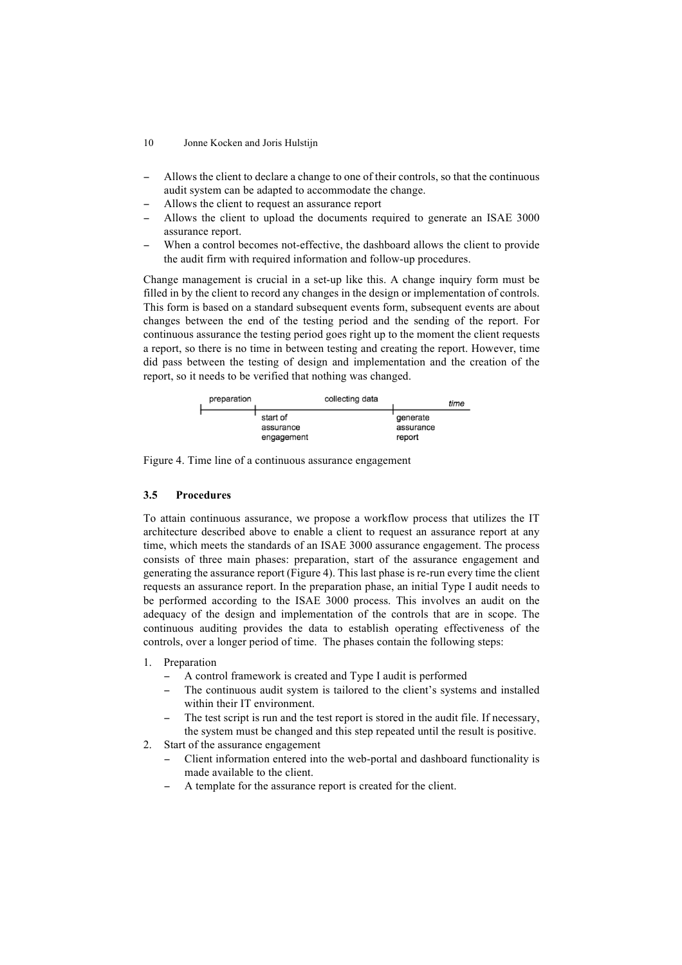- 10 Jonne Kocken and Joris Hulstijn
- − Allows the client to declare a change to one of their controls, so that the continuous audit system can be adapted to accommodate the change.
- Allows the client to request an assurance report
- Allows the client to upload the documents required to generate an ISAE 3000 assurance report.
- When a control becomes not-effective, the dashboard allows the client to provide the audit firm with required information and follow-up procedures.

Change management is crucial in a set-up like this. A change inquiry form must be filled in by the client to record any changes in the design or implementation of controls. This form is based on a standard subsequent events form, subsequent events are about changes between the end of the testing period and the sending of the report. For continuous assurance the testing period goes right up to the moment the client requests a report, so there is no time in between testing and creating the report. However, time did pass between the testing of design and implementation and the creation of the report, so it needs to be verified that nothing was changed.

| preparation |                                     | collecting data |                                 | time |
|-------------|-------------------------------------|-----------------|---------------------------------|------|
|             | start of<br>assurance<br>engagement |                 | generate<br>assurance<br>report |      |

Figure 4. Time line of a continuous assurance engagement

## **3.5 Procedures**

To attain continuous assurance, we propose a workflow process that utilizes the IT architecture described above to enable a client to request an assurance report at any time, which meets the standards of an ISAE 3000 assurance engagement. The process consists of three main phases: preparation, start of the assurance engagement and generating the assurance report (Figure 4). This last phase is re-run every time the client requests an assurance report. In the preparation phase, an initial Type I audit needs to be performed according to the ISAE 3000 process. This involves an audit on the adequacy of the design and implementation of the controls that are in scope. The continuous auditing provides the data to establish operating effectiveness of the controls, over a longer period of time. The phases contain the following steps:

- 1. Preparation
	- A control framework is created and Type I audit is performed
	- The continuous audit system is tailored to the client's systems and installed within their IT environment.
	- The test script is run and the test report is stored in the audit file. If necessary, the system must be changed and this step repeated until the result is positive.
- 2. Start of the assurance engagement
	- − Client information entered into the web-portal and dashboard functionality is made available to the client.
	- A template for the assurance report is created for the client.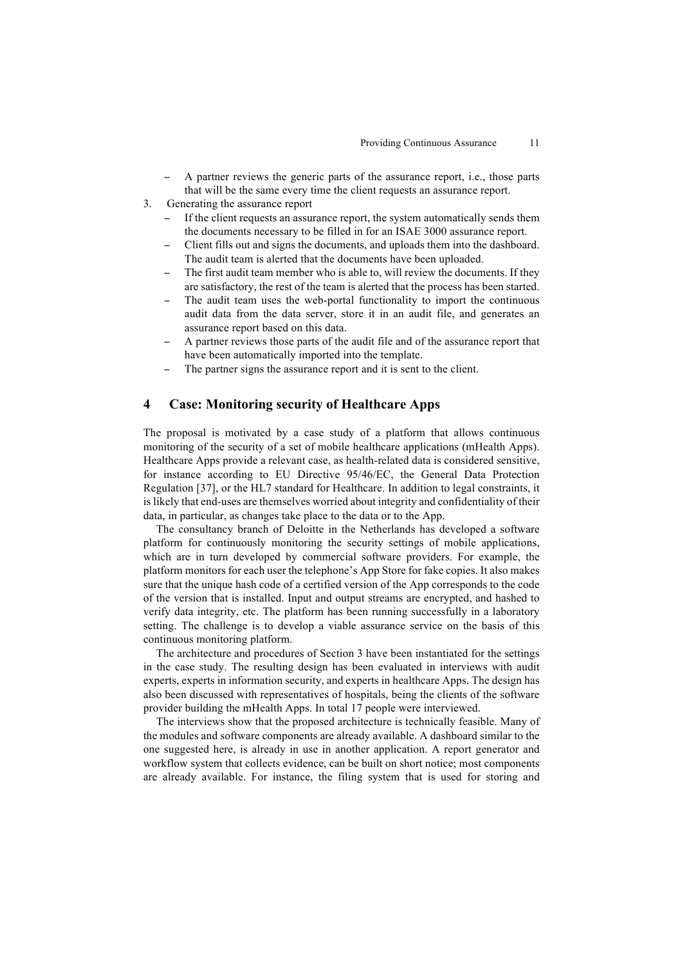- A partner reviews the generic parts of the assurance report, i.e., those parts that will be the same every time the client requests an assurance report.
- 3. Generating the assurance report
	- If the client requests an assurance report, the system automatically sends them the documents necessary to be filled in for an ISAE 3000 assurance report.
	- − Client fills out and signs the documents, and uploads them into the dashboard. The audit team is alerted that the documents have been uploaded.
	- The first audit team member who is able to, will review the documents. If they are satisfactory, the rest of the team is alerted that the process has been started.
	- The audit team uses the web-portal functionality to import the continuous audit data from the data server, store it in an audit file, and generates an assurance report based on this data.
	- A partner reviews those parts of the audit file and of the assurance report that have been automatically imported into the template.
	- The partner signs the assurance report and it is sent to the client.

## **4 Case: Monitoring security of Healthcare Apps**

The proposal is motivated by a case study of a platform that allows continuous monitoring of the security of a set of mobile healthcare applications (mHealth Apps). Healthcare Apps provide a relevant case, as health-related data is considered sensitive, for instance according to EU Directive 95/46/EC, the General Data Protection Regulation [37], or the HL7 standard for Healthcare. In addition to legal constraints, it is likely that end-uses are themselves worried about integrity and confidentiality of their data, in particular, as changes take place to the data or to the App.

The consultancy branch of Deloitte in the Netherlands has developed a software platform for continuously monitoring the security settings of mobile applications, which are in turn developed by commercial software providers. For example, the platform monitors for each user the telephone's App Store for fake copies. It also makes sure that the unique hash code of a certified version of the App corresponds to the code of the version that is installed. Input and output streams are encrypted, and hashed to verify data integrity, etc. The platform has been running successfully in a laboratory setting. The challenge is to develop a viable assurance service on the basis of this continuous monitoring platform.

The architecture and procedures of Section 3 have been instantiated for the settings in the case study. The resulting design has been evaluated in interviews with audit experts, experts in information security, and experts in healthcare Apps. The design has also been discussed with representatives of hospitals, being the clients of the software provider building the mHealth Apps. In total 17 people were interviewed.

The interviews show that the proposed architecture is technically feasible. Many of the modules and software components are already available. A dashboard similar to the one suggested here, is already in use in another application. A report generator and workflow system that collects evidence, can be built on short notice; most components are already available. For instance, the filing system that is used for storing and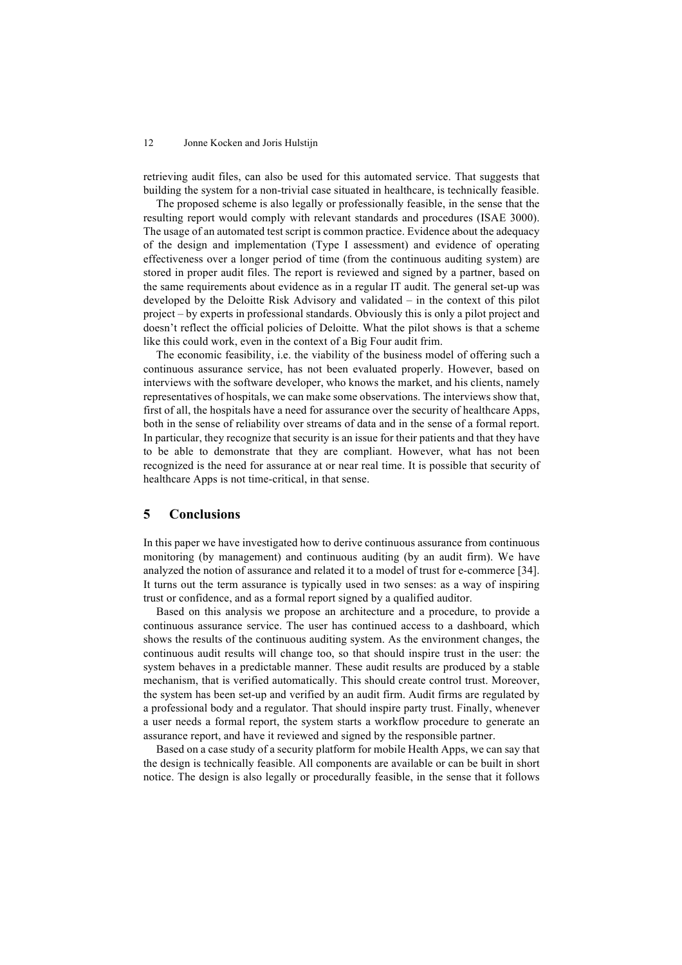retrieving audit files, can also be used for this automated service. That suggests that building the system for a non-trivial case situated in healthcare, is technically feasible.

The proposed scheme is also legally or professionally feasible, in the sense that the resulting report would comply with relevant standards and procedures (ISAE 3000). The usage of an automated test script is common practice. Evidence about the adequacy of the design and implementation (Type I assessment) and evidence of operating effectiveness over a longer period of time (from the continuous auditing system) are stored in proper audit files. The report is reviewed and signed by a partner, based on the same requirements about evidence as in a regular IT audit. The general set-up was developed by the Deloitte Risk Advisory and validated – in the context of this pilot project – by experts in professional standards. Obviously this is only a pilot project and doesn't reflect the official policies of Deloitte. What the pilot shows is that a scheme like this could work, even in the context of a Big Four audit frim.

The economic feasibility, i.e. the viability of the business model of offering such a continuous assurance service, has not been evaluated properly. However, based on interviews with the software developer, who knows the market, and his clients, namely representatives of hospitals, we can make some observations. The interviews show that, first of all, the hospitals have a need for assurance over the security of healthcare Apps, both in the sense of reliability over streams of data and in the sense of a formal report. In particular, they recognize that security is an issue for their patients and that they have to be able to demonstrate that they are compliant. However, what has not been recognized is the need for assurance at or near real time. It is possible that security of healthcare Apps is not time-critical, in that sense.

## **5 Conclusions**

In this paper we have investigated how to derive continuous assurance from continuous monitoring (by management) and continuous auditing (by an audit firm). We have analyzed the notion of assurance and related it to a model of trust for e-commerce [34]. It turns out the term assurance is typically used in two senses: as a way of inspiring trust or confidence, and as a formal report signed by a qualified auditor.

Based on this analysis we propose an architecture and a procedure, to provide a continuous assurance service. The user has continued access to a dashboard, which shows the results of the continuous auditing system. As the environment changes, the continuous audit results will change too, so that should inspire trust in the user: the system behaves in a predictable manner. These audit results are produced by a stable mechanism, that is verified automatically. This should create control trust. Moreover, the system has been set-up and verified by an audit firm. Audit firms are regulated by a professional body and a regulator. That should inspire party trust. Finally, whenever a user needs a formal report, the system starts a workflow procedure to generate an assurance report, and have it reviewed and signed by the responsible partner.

Based on a case study of a security platform for mobile Health Apps, we can say that the design is technically feasible. All components are available or can be built in short notice. The design is also legally or procedurally feasible, in the sense that it follows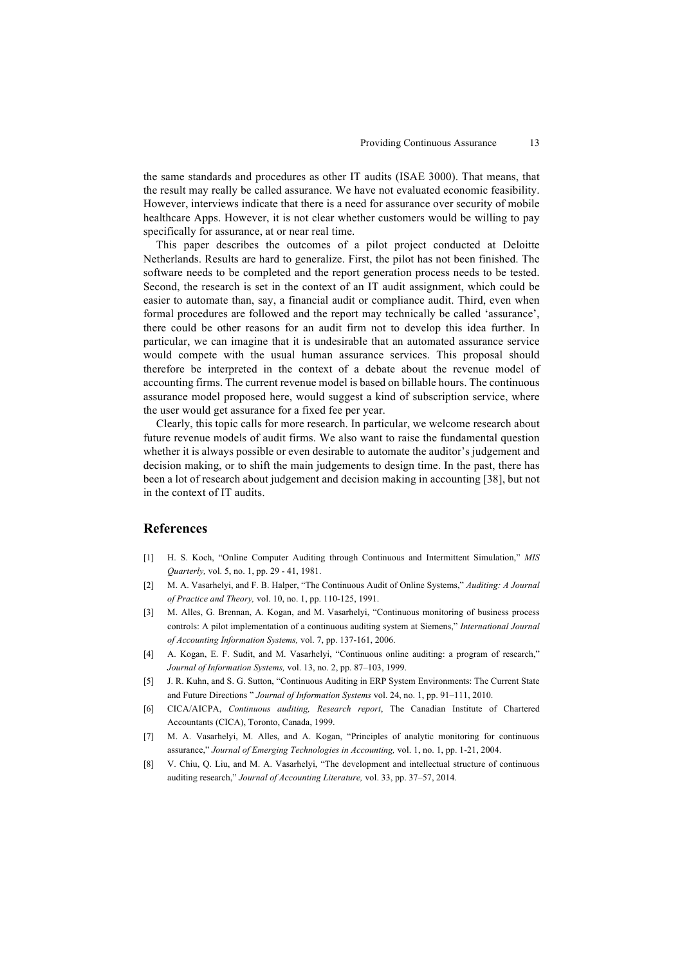the same standards and procedures as other IT audits (ISAE 3000). That means, that the result may really be called assurance. We have not evaluated economic feasibility. However, interviews indicate that there is a need for assurance over security of mobile healthcare Apps. However, it is not clear whether customers would be willing to pay specifically for assurance, at or near real time.

This paper describes the outcomes of a pilot project conducted at Deloitte Netherlands. Results are hard to generalize. First, the pilot has not been finished. The software needs to be completed and the report generation process needs to be tested. Second, the research is set in the context of an IT audit assignment, which could be easier to automate than, say, a financial audit or compliance audit. Third, even when formal procedures are followed and the report may technically be called 'assurance', there could be other reasons for an audit firm not to develop this idea further. In particular, we can imagine that it is undesirable that an automated assurance service would compete with the usual human assurance services. This proposal should therefore be interpreted in the context of a debate about the revenue model of accounting firms. The current revenue model is based on billable hours. The continuous assurance model proposed here, would suggest a kind of subscription service, where the user would get assurance for a fixed fee per year.

Clearly, this topic calls for more research. In particular, we welcome research about future revenue models of audit firms. We also want to raise the fundamental question whether it is always possible or even desirable to automate the auditor's judgement and decision making, or to shift the main judgements to design time. In the past, there has been a lot of research about judgement and decision making in accounting [38], but not in the context of IT audits.

## **References**

- [1] H. S. Koch, "Online Computer Auditing through Continuous and Intermittent Simulation," *MIS Quarterly,* vol. 5, no. 1, pp. 29 - 41, 1981.
- [2] M. A. Vasarhelyi, and F. B. Halper, "The Continuous Audit of Online Systems," *Auditing: A Journal of Practice and Theory,* vol. 10, no. 1, pp. 110-125, 1991.
- [3] M. Alles, G. Brennan, A. Kogan, and M. Vasarhelyi, "Continuous monitoring of business process controls: A pilot implementation of a continuous auditing system at Siemens," *International Journal of Accounting Information Systems,* vol. 7, pp. 137-161, 2006.
- [4] A. Kogan, E. F. Sudit, and M. Vasarhelyi, "Continuous online auditing: a program of research," *Journal of Information Systems,* vol. 13, no. 2, pp. 87–103, 1999.
- [5] J. R. Kuhn, and S. G. Sutton, "Continuous Auditing in ERP System Environments: The Current State and Future Directions " *Journal of Information Systems* vol. 24, no. 1, pp. 91–111, 2010.
- [6] CICA/AICPA, *Continuous auditing, Research report*, The Canadian Institute of Chartered Accountants (CICA), Toronto, Canada, 1999.
- [7] M. A. Vasarhelyi, M. Alles, and A. Kogan, "Principles of analytic monitoring for continuous assurance," *Journal of Emerging Technologies in Accounting,* vol. 1, no. 1, pp. 1-21, 2004.
- [8] V. Chiu, Q. Liu, and M. A. Vasarhelyi, "The development and intellectual structure of continuous auditing research," *Journal of Accounting Literature,* vol. 33, pp. 37–57, 2014.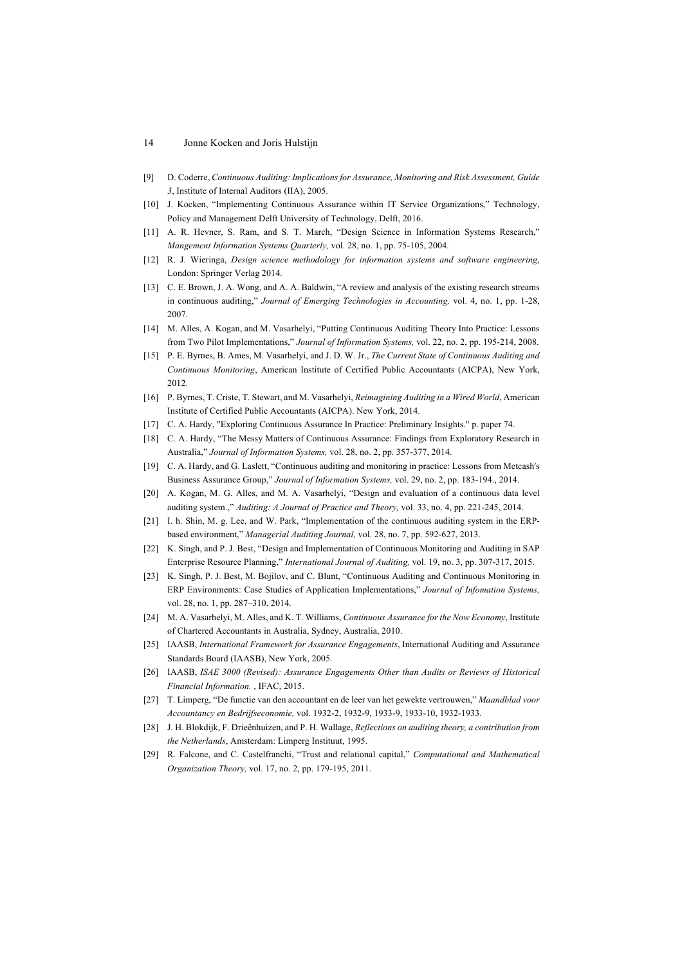- [9] D. Coderre, *Continuous Auditing: Implications for Assurance, Monitoring and Risk Assessment, Guide 3*, Institute of Internal Auditors (IIA), 2005.
- [10] J. Kocken, "Implementing Continuous Assurance within IT Service Organizations," Technology, Policy and Management Delft University of Technology, Delft, 2016.
- [11] A. R. Hevner, S. Ram, and S. T. March, "Design Science in Information Systems Research," *Mangement Information Systems Quarterly,* vol. 28, no. 1, pp. 75-105, 2004.
- [12] R. J. Wieringa, *Design science methodology for information systems and software engineering*, London: Springer Verlag 2014.
- [13] C. E. Brown, J. A. Wong, and A. A. Baldwin, "A review and analysis of the existing research streams in continuous auditing," *Journal of Emerging Technologies in Accounting,* vol. 4, no. 1, pp. 1-28, 2007.
- [14] M. Alles, A. Kogan, and M. Vasarhelyi, "Putting Continuous Auditing Theory Into Practice: Lessons from Two Pilot Implementations," *Journal of Information Systems,* vol. 22, no. 2, pp. 195-214, 2008.
- [15] P. E. Byrnes, B. Ames, M. Vasarhelyi, and J. D. W. Jr., *The Current State of Continuous Auditing and Continuous Monitoring*, American Institute of Certified Public Accountants (AICPA), New York, 2012.
- [16] P. Byrnes, T. Criste, T. Stewart, and M. Vasarhelyi, *Reimagining Auditing in a Wired World*, American Institute of Certified Public Accountants (AICPA). New York, 2014.
- [17] C. A. Hardy, "Exploring Continuous Assurance In Practice: Preliminary Insights." p. paper 74.
- [18] C. A. Hardy, "The Messy Matters of Continuous Assurance: Findings from Exploratory Research in Australia," *Journal of Information Systems,* vol. 28, no. 2, pp. 357-377, 2014.
- [19] C. A. Hardy, and G. Laslett, "Continuous auditing and monitoring in practice: Lessons from Metcash's Business Assurance Group," *Journal of Information Systems,* vol. 29, no. 2, pp. 183-194., 2014.
- [20] A. Kogan, M. G. Alles, and M. A. Vasarhelyi, "Design and evaluation of a continuous data level auditing system.," *Auditing: A Journal of Practice and Theory,* vol. 33, no. 4, pp. 221-245, 2014.
- [21] I. h. Shin, M. g. Lee, and W. Park, "Implementation of the continuous auditing system in the ERPbased environment," *Managerial Auditing Journal,* vol. 28, no. 7, pp. 592-627, 2013.
- [22] K. Singh, and P. J. Best, "Design and Implementation of Continuous Monitoring and Auditing in SAP Enterprise Resource Planning," *International Journal of Auditing,* vol. 19, no. 3, pp. 307-317, 2015.
- [23] K. Singh, P. J. Best, M. Bojilov, and C. Blunt, "Continuous Auditing and Continuous Monitoring in ERP Environments: Case Studies of Application Implementations," *Journal of Infomation Systems,* vol. 28, no. 1, pp. 287–310, 2014.
- [24] M. A. Vasarhelyi, M. Alles, and K. T. Williams, *Continuous Assurance for the Now Economy*, Institute of Chartered Accountants in Australia, Sydney, Australia, 2010.
- [25] IAASB, *International Framework for Assurance Engagements*, International Auditing and Assurance Standards Board (IAASB), New York, 2005.
- [26] IAASB, *ISAE 3000 (Revised): Assurance Engagements Other than Audits or Reviews of Historical Financial Information.* , IFAC, 2015.
- [27] T. Limperg, "De functie van den accountant en de leer van het gewekte vertrouwen," *Maandblad voor Accountancy en Bedrijfseconomie,* vol. 1932-2, 1932-9, 1933-9, 1933-10, 1932-1933.
- [28] J. H. Blokdijk, F. Drieënhuizen, and P. H. Wallage, *Reflections on auditing theory, a contribution from the Netherlands*, Amsterdam: Limperg Instituut, 1995.
- [29] R. Falcone, and C. Castelfranchi, "Trust and relational capital," *Computational and Mathematical Organization Theory,* vol. 17, no. 2, pp. 179-195, 2011.